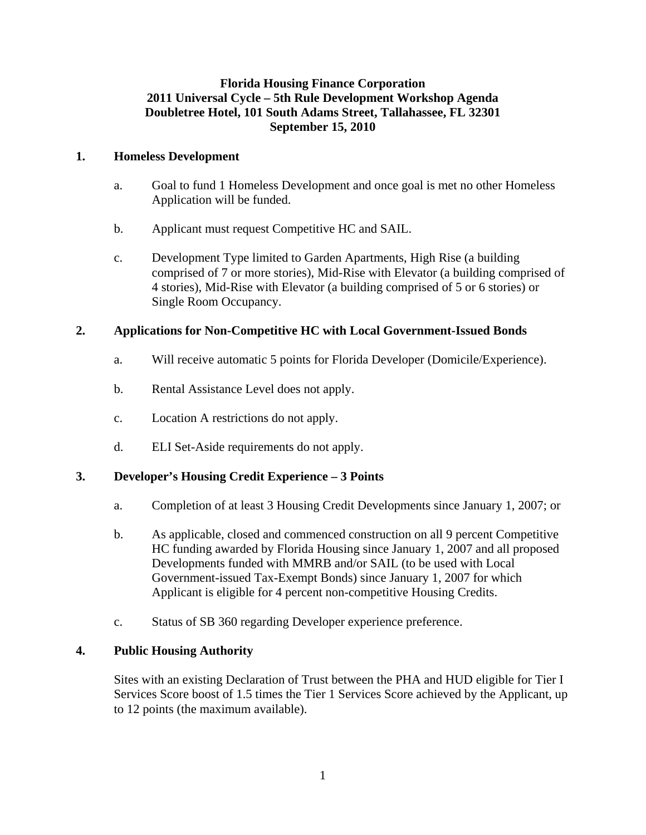### **Florida Housing Finance Corporation 2011 Universal Cycle – 5th Rule Development Workshop Agenda Doubletree Hotel, 101 South Adams Street, Tallahassee, FL 32301 September 15, 2010**

### **1. Homeless Development**

- a. Goal to fund 1 Homeless Development and once goal is met no other Homeless Application will be funded.
- b. Applicant must request Competitive HC and SAIL.
- c. Development Type limited to Garden Apartments, High Rise (a building comprised of 7 or more stories), Mid-Rise with Elevator (a building comprised of 4 stories), Mid-Rise with Elevator (a building comprised of 5 or 6 stories) or Single Room Occupancy.

### **2. Applications for Non-Competitive HC with Local Government-Issued Bonds**

- a. Will receive automatic 5 points for Florida Developer (Domicile/Experience).
- b. Rental Assistance Level does not apply.
- c. Location A restrictions do not apply.
- d. ELI Set-Aside requirements do not apply.

#### **3. Developer's Housing Credit Experience – 3 Points**

- a. Completion of at least 3 Housing Credit Developments since January 1, 2007; or
- b. As applicable, closed and commenced construction on all 9 percent Competitive HC funding awarded by Florida Housing since January 1, 2007 and all proposed Developments funded with MMRB and/or SAIL (to be used with Local Government-issued Tax-Exempt Bonds) since January 1, 2007 for which Applicant is eligible for 4 percent non-competitive Housing Credits.
- c. Status of SB 360 regarding Developer experience preference.

#### **4. Public Housing Authority**

 Sites with an existing Declaration of Trust between the PHA and HUD eligible for Tier I Services Score boost of 1.5 times the Tier 1 Services Score achieved by the Applicant, up to 12 points (the maximum available).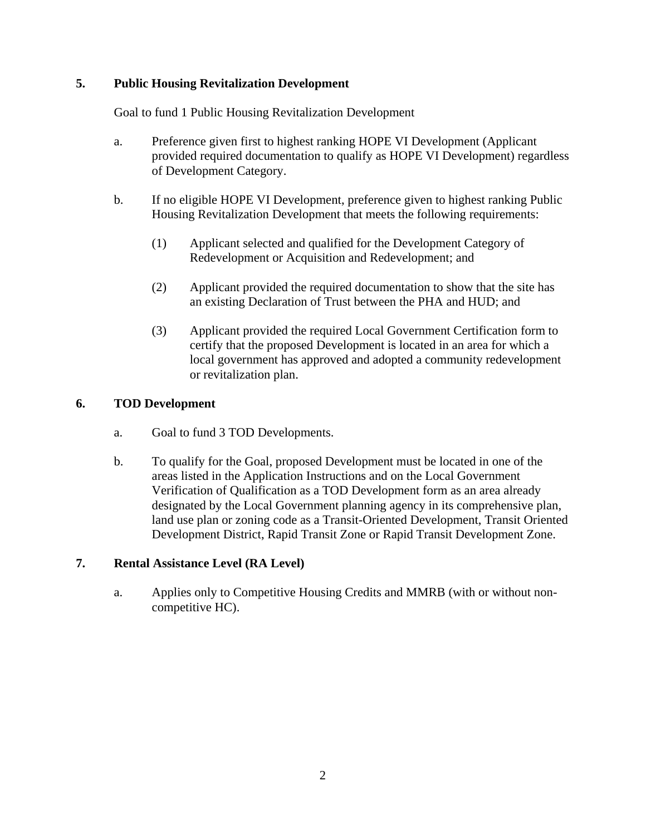## **5. Public Housing Revitalization Development**

Goal to fund 1 Public Housing Revitalization Development

- a. Preference given first to highest ranking HOPE VI Development (Applicant provided required documentation to qualify as HOPE VI Development) regardless of Development Category.
- b. If no eligible HOPE VI Development, preference given to highest ranking Public Housing Revitalization Development that meets the following requirements:
	- (1) Applicant selected and qualified for the Development Category of Redevelopment or Acquisition and Redevelopment; and
	- (2) Applicant provided the required documentation to show that the site has an existing Declaration of Trust between the PHA and HUD; and
	- (3) Applicant provided the required Local Government Certification form to certify that the proposed Development is located in an area for which a local government has approved and adopted a community redevelopment or revitalization plan.

## **6. TOD Development**

- a. Goal to fund 3 TOD Developments.
- b. To qualify for the Goal, proposed Development must be located in one of the areas listed in the Application Instructions and on the Local Government Verification of Qualification as a TOD Development form as an area already designated by the Local Government planning agency in its comprehensive plan, land use plan or zoning code as a Transit-Oriented Development, Transit Oriented Development District, Rapid Transit Zone or Rapid Transit Development Zone.

# **7. Rental Assistance Level (RA Level)**

 a. Applies only to Competitive Housing Credits and MMRB (with or without noncompetitive HC).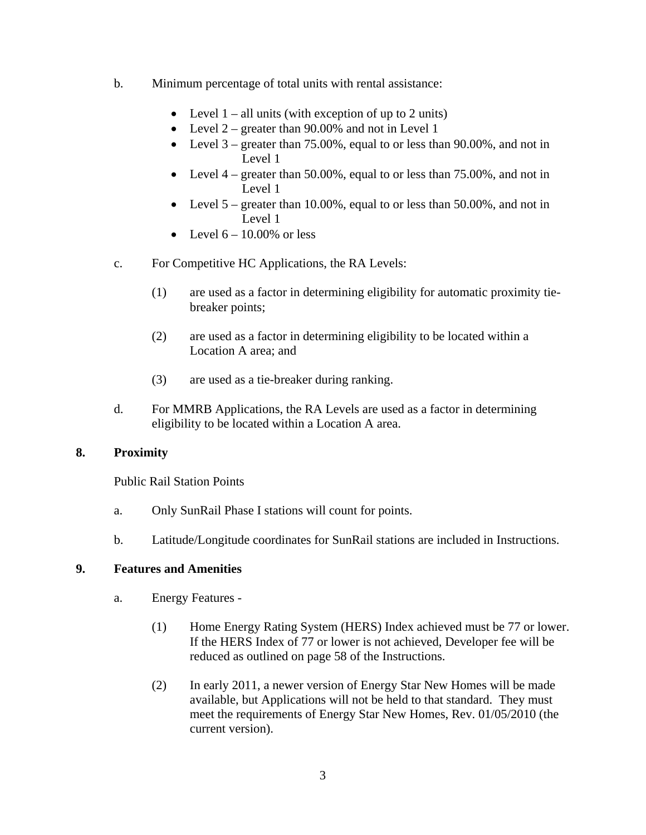- b. Minimum percentage of total units with rental assistance:
	- Level  $1 \text{all units}$  (with exception of up to 2 units)
	- Level  $2$  greater than 90.00% and not in Level 1
	- Level  $3$  greater than 75.00%, equal to or less than 90.00%, and not in Level 1
	- Level  $4$  greater than 50.00%, equal to or less than 75.00%, and not in Level 1
	- Level 5 greater than 10.00%, equal to or less than 50.00%, and not in Level 1
	- Level  $6 10.00\%$  or less
- c. For Competitive HC Applications, the RA Levels:
	- (1) are used as a factor in determining eligibility for automatic proximity tiebreaker points;
	- (2) are used as a factor in determining eligibility to be located within a Location A area; and
	- (3) are used as a tie-breaker during ranking.
- d. For MMRB Applications, the RA Levels are used as a factor in determining eligibility to be located within a Location A area.

### **8. Proximity**

Public Rail Station Points

- a. Only SunRail Phase I stations will count for points.
- b. Latitude/Longitude coordinates for SunRail stations are included in Instructions.

#### **9. Features and Amenities**

- a. Energy Features
	- (1) Home Energy Rating System (HERS) Index achieved must be 77 or lower. If the HERS Index of 77 or lower is not achieved, Developer fee will be reduced as outlined on page 58 of the Instructions.
	- (2) In early 2011, a newer version of Energy Star New Homes will be made available, but Applications will not be held to that standard. They must meet the requirements of Energy Star New Homes, Rev. 01/05/2010 (the current version).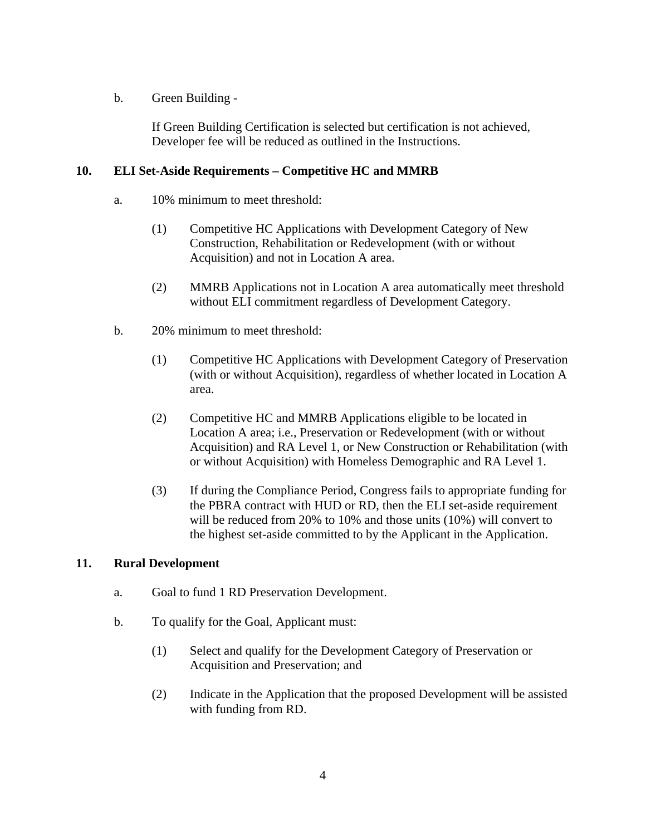### b. Green Building -

 If Green Building Certification is selected but certification is not achieved, Developer fee will be reduced as outlined in the Instructions.

#### **10. ELI Set-Aside Requirements – Competitive HC and MMRB**

- a. 10% minimum to meet threshold:
	- (1) Competitive HC Applications with Development Category of New Construction, Rehabilitation or Redevelopment (with or without Acquisition) and not in Location A area.
	- (2) MMRB Applications not in Location A area automatically meet threshold without ELI commitment regardless of Development Category.
- b. 20% minimum to meet threshold:
	- (1) Competitive HC Applications with Development Category of Preservation (with or without Acquisition), regardless of whether located in Location A area.
	- (2) Competitive HC and MMRB Applications eligible to be located in Location A area; i.e., Preservation or Redevelopment (with or without Acquisition) and RA Level 1, or New Construction or Rehabilitation (with or without Acquisition) with Homeless Demographic and RA Level 1.
	- (3) If during the Compliance Period, Congress fails to appropriate funding for the PBRA contract with HUD or RD, then the ELI set-aside requirement will be reduced from 20% to 10% and those units (10%) will convert to the highest set-aside committed to by the Applicant in the Application.

#### **11. Rural Development**

- a. Goal to fund 1 RD Preservation Development.
- b. To qualify for the Goal, Applicant must:
	- (1) Select and qualify for the Development Category of Preservation or Acquisition and Preservation; and
	- (2) Indicate in the Application that the proposed Development will be assisted with funding from RD.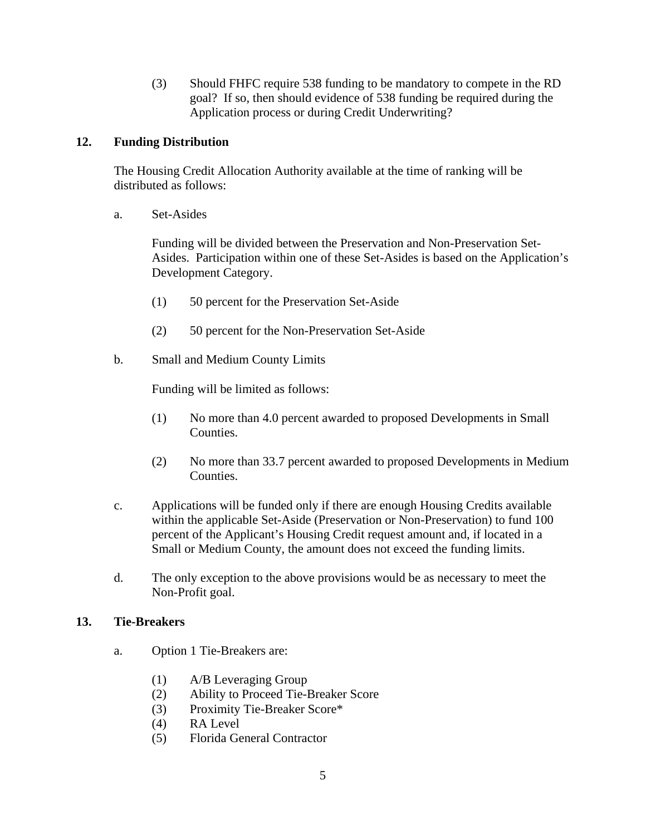(3) Should FHFC require 538 funding to be mandatory to compete in the RD goal? If so, then should evidence of 538 funding be required during the Application process or during Credit Underwriting?

### **12. Funding Distribution**

 The Housing Credit Allocation Authority available at the time of ranking will be distributed as follows:

a. Set-Asides

 Funding will be divided between the Preservation and Non-Preservation Set-Asides. Participation within one of these Set-Asides is based on the Application's Development Category.

- (1) 50 percent for the Preservation Set-Aside
- (2) 50 percent for the Non-Preservation Set-Aside
- b. Small and Medium County Limits

Funding will be limited as follows:

- (1) No more than 4.0 percent awarded to proposed Developments in Small Counties.
- (2) No more than 33.7 percent awarded to proposed Developments in Medium Counties.
- c. Applications will be funded only if there are enough Housing Credits available within the applicable Set-Aside (Preservation or Non-Preservation) to fund 100 percent of the Applicant's Housing Credit request amount and, if located in a Small or Medium County, the amount does not exceed the funding limits.
- d. The only exception to the above provisions would be as necessary to meet the Non-Profit goal.

### **13. Tie-Breakers**

- a. Option 1 Tie-Breakers are:
	- (1) A/B Leveraging Group
	- (2) Ability to Proceed Tie-Breaker Score
	- (3) Proximity Tie-Breaker Score\*
	- (4) RA Level
	- (5) Florida General Contractor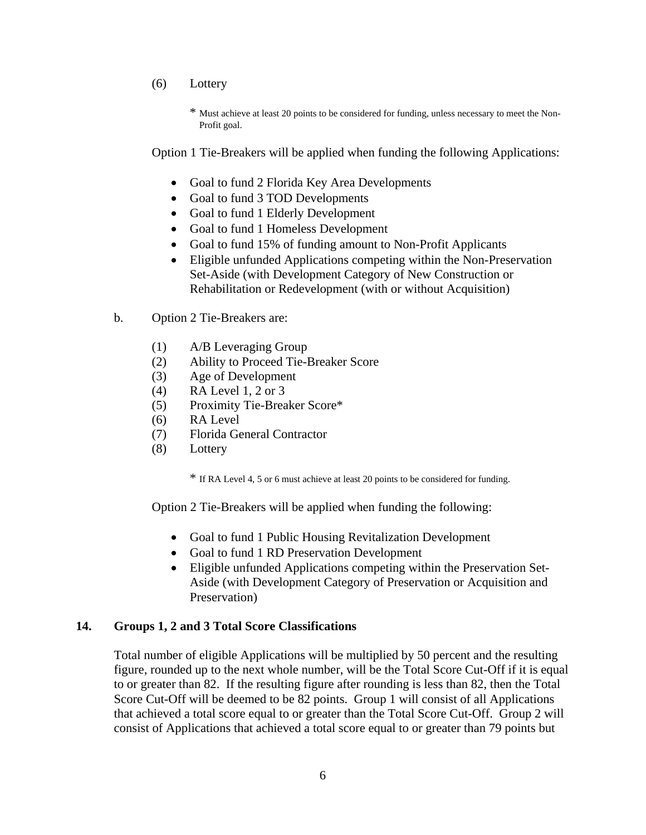(6) Lottery

 \* Must achieve at least 20 points to be considered for funding, unless necessary to meet the Non- Profit goal.

Option 1 Tie-Breakers will be applied when funding the following Applications:

- Goal to fund 2 Florida Key Area Developments
- Goal to fund 3 TOD Developments
- Goal to fund 1 Elderly Development
- Goal to fund 1 Homeless Development
- Goal to fund 15% of funding amount to Non-Profit Applicants
- Eligible unfunded Applications competing within the Non-Preservation Set-Aside (with Development Category of New Construction or Rehabilitation or Redevelopment (with or without Acquisition)
- b. Option 2 Tie-Breakers are:
	- (1) A/B Leveraging Group
	- (2) Ability to Proceed Tie-Breaker Score
	- (3) Age of Development
	- (4) RA Level 1, 2 or 3
	- (5) Proximity Tie-Breaker Score\*
	- (6) RA Level
	- (7) Florida General Contractor
	- (8) Lottery

\* If RA Level 4, 5 or 6 must achieve at least 20 points to be considered for funding.

Option 2 Tie-Breakers will be applied when funding the following:

- Goal to fund 1 Public Housing Revitalization Development
- Goal to fund 1 RD Preservation Development
- Eligible unfunded Applications competing within the Preservation Set-Aside (with Development Category of Preservation or Acquisition and Preservation)

#### **14. Groups 1, 2 and 3 Total Score Classifications**

 Total number of eligible Applications will be multiplied by 50 percent and the resulting figure, rounded up to the next whole number, will be the Total Score Cut-Off if it is equal to or greater than 82. If the resulting figure after rounding is less than 82, then the Total Score Cut-Off will be deemed to be 82 points. Group 1 will consist of all Applications that achieved a total score equal to or greater than the Total Score Cut-Off. Group 2 will consist of Applications that achieved a total score equal to or greater than 79 points but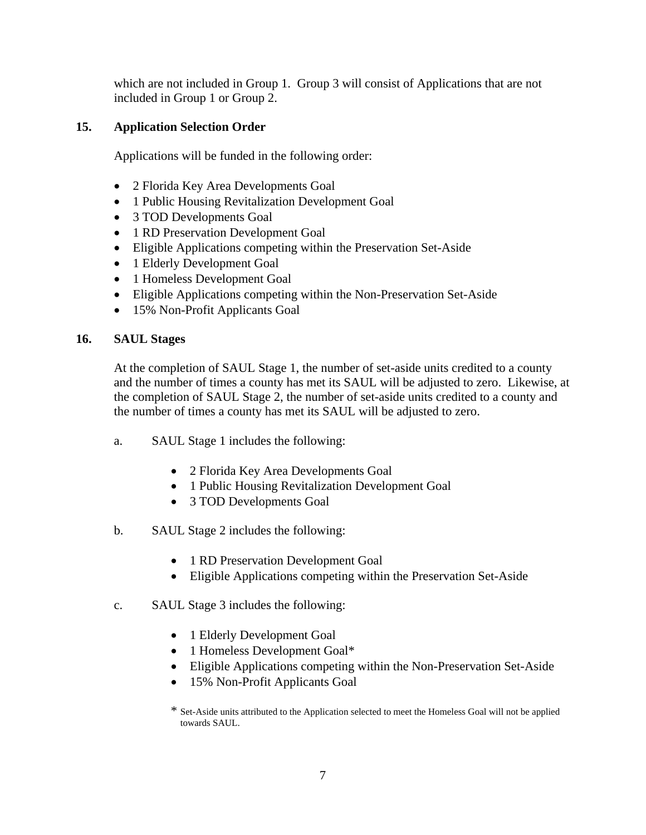which are not included in Group 1. Group 3 will consist of Applications that are not included in Group 1 or Group 2.

## **15. Application Selection Order**

Applications will be funded in the following order:

- 2 Florida Key Area Developments Goal
- 1 Public Housing Revitalization Development Goal
- 3 TOD Developments Goal
- 1 RD Preservation Development Goal
- Eligible Applications competing within the Preservation Set-Aside
- 1 Elderly Development Goal
- 1 Homeless Development Goal
- Eligible Applications competing within the Non-Preservation Set-Aside
- 15% Non-Profit Applicants Goal

### **16. SAUL Stages**

 At the completion of SAUL Stage 1, the number of set-aside units credited to a county and the number of times a county has met its SAUL will be adjusted to zero. Likewise, at the completion of SAUL Stage 2, the number of set-aside units credited to a county and the number of times a county has met its SAUL will be adjusted to zero.

- a. SAUL Stage 1 includes the following:
	- 2 Florida Key Area Developments Goal
	- 1 Public Housing Revitalization Development Goal
	- 3 TOD Developments Goal
- b. SAUL Stage 2 includes the following:
	- 1 RD Preservation Development Goal
	- Eligible Applications competing within the Preservation Set-Aside
- c. SAUL Stage 3 includes the following:
	- 1 Elderly Development Goal
	- 1 Homeless Development Goal\*
	- Eligible Applications competing within the Non-Preservation Set-Aside
	- 15% Non-Profit Applicants Goal
	- \* Set-Aside units attributed to the Application selected to meet the Homeless Goal will not be applied towards SAUL.